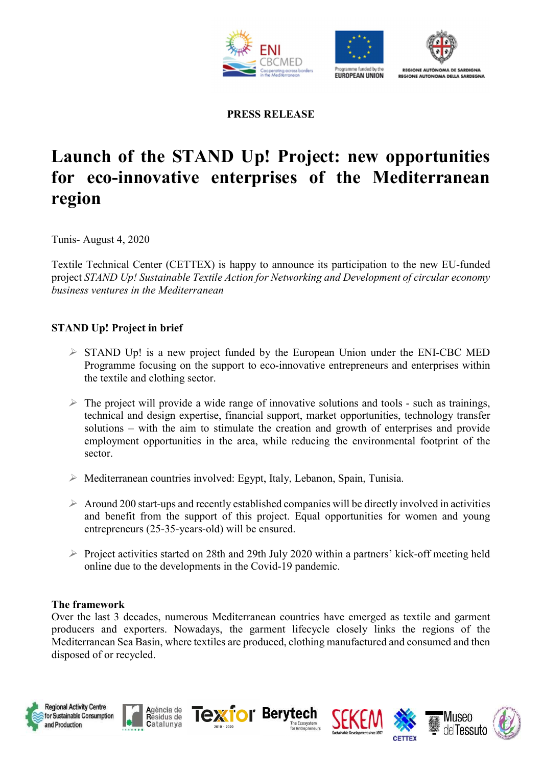





PRESS RELEASE

# Launch of the STAND Up! Project: new opportunities for eco-innovative enterprises of the Mediterranean region

Tunis- August 4, 2020

Textile Technical Center (CETTEX) is happy to announce its participation to the new EU-funded project STAND Up! Sustainable Textile Action for Networking and Development of circular economy business ventures in the Mediterranean

# STAND Up! Project in brief

- $\triangleright$  STAND Up! is a new project funded by the European Union under the ENI-CBC MED Programme focusing on the support to eco-innovative entrepreneurs and enterprises within the textile and clothing sector.
- $\triangleright$  The project will provide a wide range of innovative solutions and tools such as trainings, technical and design expertise, financial support, market opportunities, technology transfer solutions – with the aim to stimulate the creation and growth of enterprises and provide employment opportunities in the area, while reducing the environmental footprint of the sector.
- $\triangleright$  Mediterranean countries involved: Egypt, Italy, Lebanon, Spain, Tunisia.
- $\triangleright$  Around 200 start-ups and recently established companies will be directly involved in activities and benefit from the support of this project. Equal opportunities for women and young entrepreneurs (25-35-years-old) will be ensured.
- $\triangleright$  Project activities started on 28th and 29th July 2020 within a partners' kick-off meeting held online due to the developments in the Covid-19 pandemic.

#### The framework

Over the last 3 decades, numerous Mediterranean countries have emerged as textile and garment producers and exporters. Nowadays, the garment lifecycle closely links the regions of the Mediterranean Sea Basin, where textiles are produced, clothing manufactured and consumed and then disposed of or recycled.













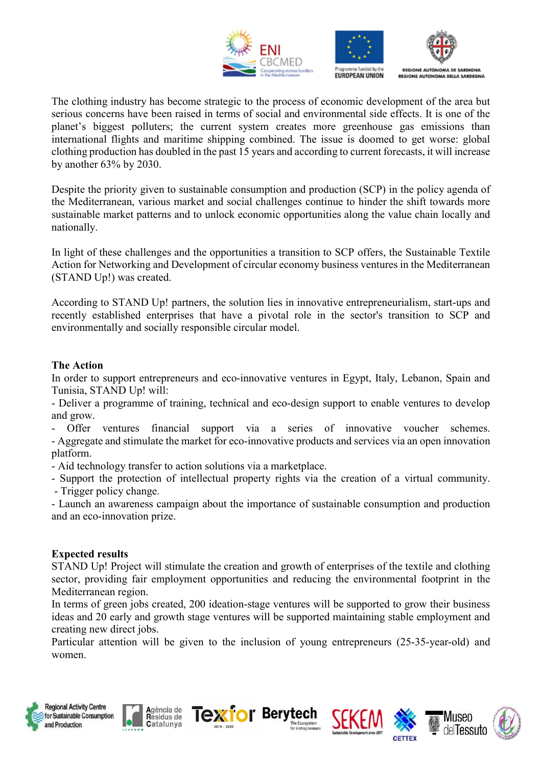





The clothing industry has become strategic to the process of economic development of the area but serious concerns have been raised in terms of social and environmental side effects. It is one of the planet's biggest polluters; the current system creates more greenhouse gas emissions than international flights and maritime shipping combined. The issue is doomed to get worse: global clothing production has doubled in the past 15 years and according to current forecasts, it will increase by another 63% by 2030.

Despite the priority given to sustainable consumption and production (SCP) in the policy agenda of the Mediterranean, various market and social challenges continue to hinder the shift towards more sustainable market patterns and to unlock economic opportunities along the value chain locally and nationally.

In light of these challenges and the opportunities a transition to SCP offers, the Sustainable Textile Action for Networking and Development of circular economy business ventures in the Mediterranean (STAND Up!) was created.

According to STAND Up! partners, the solution lies in innovative entrepreneurialism, start-ups and recently established enterprises that have a pivotal role in the sector's transition to SCP and environmentally and socially responsible circular model.

# The Action

In order to support entrepreneurs and eco-innovative ventures in Egypt, Italy, Lebanon, Spain and Tunisia, STAND Up! will:

- Deliver a programme of training, technical and eco-design support to enable ventures to develop and grow.

Offer ventures financial support via a series of innovative voucher schemes. - Aggregate and stimulate the market for eco-innovative products and services via an open innovation platform.

- Aid technology transfer to action solutions via a marketplace.

- Support the protection of intellectual property rights via the creation of a virtual community. - Trigger policy change.

- Launch an awareness campaign about the importance of sustainable consumption and production and an eco-innovation prize.

#### Expected results

STAND Up! Project will stimulate the creation and growth of enterprises of the textile and clothing sector, providing fair employment opportunities and reducing the environmental footprint in the Mediterranean region.

In terms of green jobs created, 200 ideation-stage ventures will be supported to grow their business ideas and 20 early and growth stage ventures will be supported maintaining stable employment and creating new direct jobs.

Particular attention will be given to the inclusion of young entrepreneurs (25-35-year-old) and women.